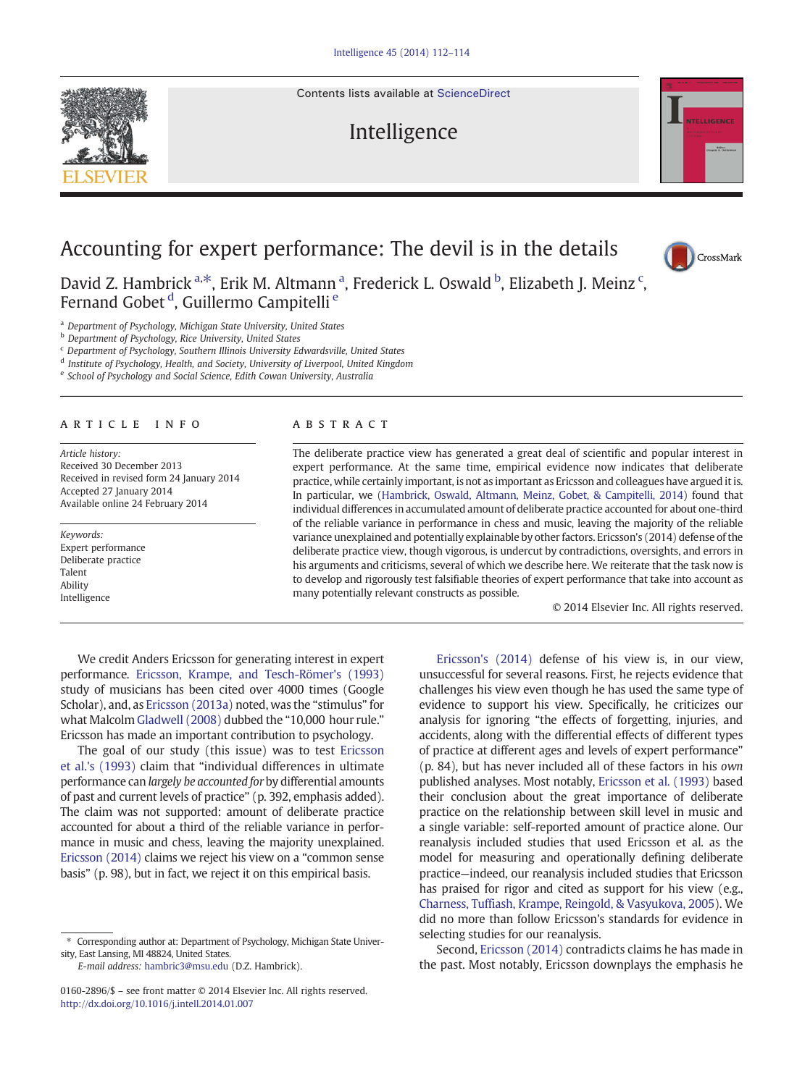Contents lists available at [ScienceDirect](http://www.sciencedirect.com/science/journal/01602896)

## Intelligence



David Z. Hambrick<sup>a,\*</sup>, Erik M. Altmann<sup>a</sup>, Frederick L. Oswald <sup>b</sup>, Elizabeth J. Meinz <sup>c</sup>, Fernand Gobet<sup>d</sup>, Guillermo Campitelli<sup>e</sup>

<sup>a</sup> Department of Psychology, Michigan State University, United States

**b** Department of Psychology, Rice University, United States

<sup>c</sup> Department of Psychology, Southern Illinois University Edwardsville, United States

<sup>d</sup> Institute of Psychology, Health, and Society, University of Liverpool, United Kingdom

<sup>e</sup> School of Psychology and Social Science, Edith Cowan University, Australia

## article info abstract

Article history: Received 30 December 2013 Received in revised form 24 January 2014 Accepted 27 January 2014 Available online 24 February 2014

Keywords: Expert performance Deliberate practice Talent Ability Intelligence

The deliberate practice view has generated a great deal of scientific and popular interest in expert performance. At the same time, empirical evidence now indicates that deliberate practice, while certainly important, is not as important as Ericsson and colleagues have argued it is. In particular, we ([Hambrick, Oswald, Altmann, Meinz, Gobet, & Campitelli, 2014\)](#page-2-0) found that individual differences in accumulated amount of deliberate practice accounted for about one-third of the reliable variance in performance in chess and music, leaving the majority of the reliable variance unexplained and potentially explainable by other factors. Ericsson's (2014) defense of the deliberate practice view, though vigorous, is undercut by contradictions, oversights, and errors in his arguments and criticisms, several of which we describe here. We reiterate that the task now is to develop and rigorously test falsifiable theories of expert performance that take into account as many potentially relevant constructs as possible.

© 2014 Elsevier Inc. All rights reserved.

We credit Anders Ericsson for generating interest in expert performance. [Ericsson, Krampe, and Tesch-Römer's \(1993\)](#page-2-0) study of musicians has been cited over 4000 times (Google Scholar), and, as [Ericsson \(2013a\)](#page-1-0) noted, was the "stimulus" for what Malcolm [Gladwell \(2008\)](#page-2-0) dubbed the "10,000 hour rule." Ericsson has made an important contribution to psychology.

The goal of our study (this issue) was to test [Ericsson](#page-2-0) [et al.'s \(1993\)](#page-2-0) claim that "individual differences in ultimate performance can largely be accounted for by differential amounts of past and current levels of practice" (p. 392, emphasis added). The claim was not supported: amount of deliberate practice accounted for about a third of the reliable variance in performance in music and chess, leaving the majority unexplained. [Ericsson \(2014\)](#page-2-0) claims we reject his view on a "common sense basis" (p. 98), but in fact, we reject it on this empirical basis.

⁎ Corresponding author at: Department of Psychology, Michigan State University, East Lansing, MI 48824, United States.

E-mail address: [hambric3@msu.edu](mailto:hambric3@msu.edu) (D.Z. Hambrick).

[Ericsson's \(2014\)](#page-2-0) defense of his view is, in our view, unsuccessful for several reasons. First, he rejects evidence that challenges his view even though he has used the same type of evidence to support his view. Specifically, he criticizes our analysis for ignoring "the effects of forgetting, injuries, and accidents, along with the differential effects of different types of practice at different ages and levels of expert performance" (p. 84), but has never included all of these factors in his own published analyses. Most notably, [Ericsson et al. \(1993\)](#page-2-0) based their conclusion about the great importance of deliberate practice on the relationship between skill level in music and a single variable: self-reported amount of practice alone. Our reanalysis included studies that used Ericsson et al. as the model for measuring and operationally defining deliberate practice—indeed, our reanalysis included studies that Ericsson has praised for rigor and cited as support for his view (e.g., [Charness, Tuffiash, Krampe, Reingold, & Vasyukova, 2005](#page-1-0)). We did no more than follow Ericsson's standards for evidence in selecting studies for our reanalysis.

Second, [Ericsson \(2014\)](#page-2-0) contradicts claims he has made in the past. Most notably, Ericsson downplays the emphasis he





<sup>0160-2896/\$</sup> – see front matter © 2014 Elsevier Inc. All rights reserved. <http://dx.doi.org/10.1016/j.intell.2014.01.007>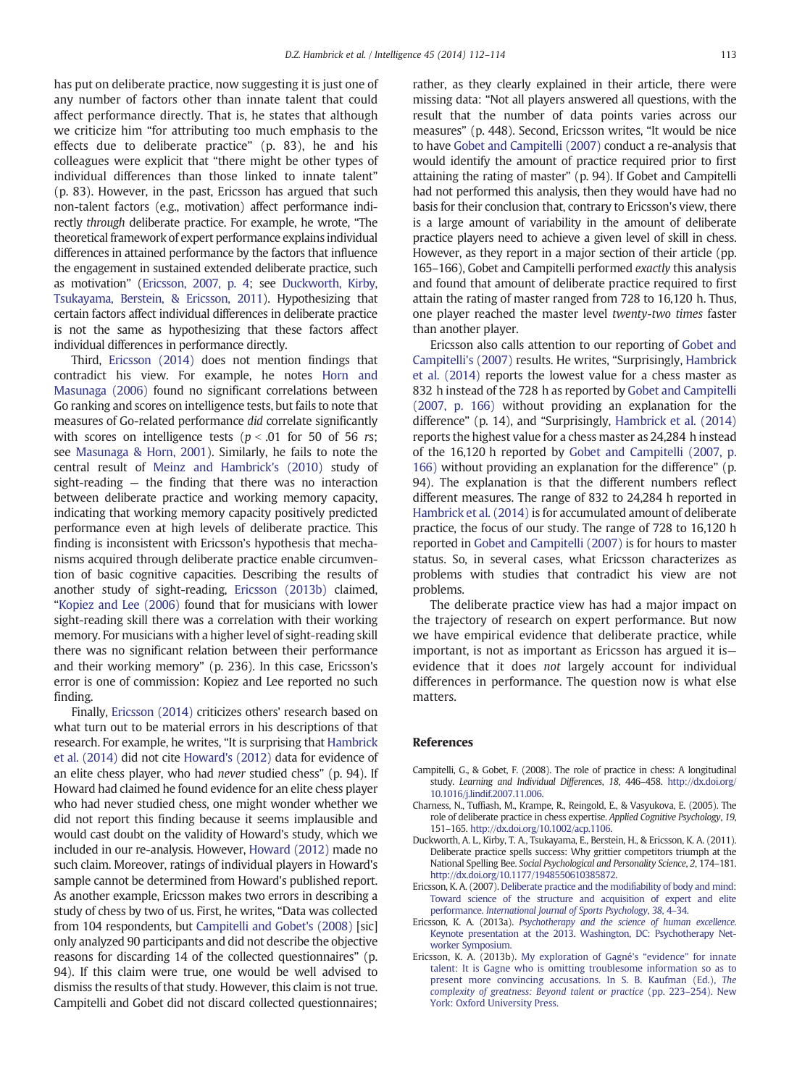<span id="page-1-0"></span>has put on deliberate practice, now suggesting it is just one of any number of factors other than innate talent that could affect performance directly. That is, he states that although we criticize him "for attributing too much emphasis to the effects due to deliberate practice" (p. 83), he and his colleagues were explicit that "there might be other types of individual differences than those linked to innate talent" (p. 83). However, in the past, Ericsson has argued that such non-talent factors (e.g., motivation) affect performance indirectly through deliberate practice. For example, he wrote, "The theoretical framework of expert performance explains individual differences in attained performance by the factors that influence the engagement in sustained extended deliberate practice, such as motivation" (Ericsson, 2007, p. 4; see Duckworth, Kirby, Tsukayama, Berstein, & Ericsson, 2011). Hypothesizing that certain factors affect individual differences in deliberate practice is not the same as hypothesizing that these factors affect individual differences in performance directly.

Third, [Ericsson \(2014\)](#page-2-0) does not mention findings that contradict his view. For example, he notes [Horn and](#page-2-0) [Masunaga \(2006\)](#page-2-0) found no significant correlations between Go ranking and scores on intelligence tests, but fails to note that measures of Go-related performance did correlate significantly with scores on intelligence tests ( $p < .01$  for 50 of 56 rs; see [Masunaga & Horn, 2001](#page-2-0)). Similarly, he fails to note the central result of [Meinz and Hambrick's \(2010\)](#page-2-0) study of sight-reading — the finding that there was no interaction between deliberate practice and working memory capacity, indicating that working memory capacity positively predicted performance even at high levels of deliberate practice. This finding is inconsistent with Ericsson's hypothesis that mechanisms acquired through deliberate practice enable circumvention of basic cognitive capacities. Describing the results of another study of sight-reading, Ericsson (2013b) claimed, "[Kopiez and Lee \(2006\)](#page-2-0) found that for musicians with lower sight-reading skill there was a correlation with their working memory. For musicians with a higher level of sight-reading skill there was no significant relation between their performance and their working memory" (p. 236). In this case, Ericsson's error is one of commission: Kopiez and Lee reported no such finding.

Finally, [Ericsson \(2014\)](#page-2-0) criticizes others' research based on what turn out to be material errors in his descriptions of that research. For example, he writes, "It is surprising that [Hambrick](#page-2-0) [et al. \(2014\)](#page-2-0) did not cite [Howard's \(2012\)](#page-2-0) data for evidence of an elite chess player, who had never studied chess" (p. 94). If Howard had claimed he found evidence for an elite chess player who had never studied chess, one might wonder whether we did not report this finding because it seems implausible and would cast doubt on the validity of Howard's study, which we included in our re-analysis. However, [Howard \(2012\)](#page-2-0) made no such claim. Moreover, ratings of individual players in Howard's sample cannot be determined from Howard's published report. As another example, Ericsson makes two errors in describing a study of chess by two of us. First, he writes, "Data was collected from 104 respondents, but Campitelli and Gobet's (2008) [sic] only analyzed 90 participants and did not describe the objective reasons for discarding 14 of the collected questionnaires" (p. 94). If this claim were true, one would be well advised to dismiss the results of that study. However, this claim is not true. Campitelli and Gobet did not discard collected questionnaires;

rather, as they clearly explained in their article, there were missing data: "Not all players answered all questions, with the result that the number of data points varies across our measures" (p. 448). Second, Ericsson writes, "It would be nice to have [Gobet and Campitelli \(2007\)](#page-2-0) conduct a re-analysis that would identify the amount of practice required prior to first attaining the rating of master" (p. 94). If Gobet and Campitelli had not performed this analysis, then they would have had no basis for their conclusion that, contrary to Ericsson's view, there is a large amount of variability in the amount of deliberate practice players need to achieve a given level of skill in chess. However, as they report in a major section of their article (pp. 165–166), Gobet and Campitelli performed exactly this analysis and found that amount of deliberate practice required to first attain the rating of master ranged from 728 to 16,120 h. Thus, one player reached the master level twenty-two times faster than another player.

Ericsson also calls attention to our reporting of [Gobet and](#page-2-0) [Campitelli's \(2007\)](#page-2-0) results. He writes, "Surprisingly, [Hambrick](#page-2-0) [et al. \(2014\)](#page-2-0) reports the lowest value for a chess master as 832 h instead of the 728 h as reported by [Gobet and Campitelli](#page-2-0) [\(2007, p. 166\)](#page-2-0) without providing an explanation for the difference" (p. 14), and "Surprisingly, [Hambrick et al. \(2014\)](#page-2-0) reports the highest value for a chess master as 24,284 h instead of the 16,120 h reported by [Gobet and Campitelli \(2007, p.](#page-2-0) [166\)](#page-2-0) without providing an explanation for the difference" (p. 94). The explanation is that the different numbers reflect different measures. The range of 832 to 24,284 h reported in [Hambrick et al. \(2014\)](#page-2-0) is for accumulated amount of deliberate practice, the focus of our study. The range of 728 to 16,120 h reported in [Gobet and Campitelli \(2007\)](#page-2-0) is for hours to master status. So, in several cases, what Ericsson characterizes as problems with studies that contradict his view are not problems.

The deliberate practice view has had a major impact on the trajectory of research on expert performance. But now we have empirical evidence that deliberate practice, while important, is not as important as Ericsson has argued it is evidence that it does not largely account for individual differences in performance. The question now is what else matters.

## References

- Campitelli, G., & Gobet, F. (2008). The role of practice in chess: A longitudinal study. Learning and Individual Differences, 18, 446–458. http://dx.doi.org/ [10.1016/j.lindif.2007.11.006.](http://dx.doi.org/10.1016/j.lindif.2007.11.006)
- Charness, N., Tuffiash, M., Krampe, R., Reingold, E., & Vasyukova, E. (2005). The role of deliberate practice in chess expertise. Applied Cognitive Psychology, 19, 151–165. http://dx.doi.org[/10.1002/acp.1106.](http://dx.doi.org/10.1002/acp.1106)
- Duckworth, A. L., Kirby, T. A., Tsukayama, E., Berstein, H., & Ericsson, K. A. (2011). Deliberate practice spells success: Why grittier competitors triumph at the National Spelling Bee. Social Psychological and Personality Science, 2, 174–181. http://dx.doi.org[/10.1177/1948550610385872](http://dx.doi.org/10.1177/1948550610385872).
- Ericsson, K. A. (2007). [Deliberate practice and the modifiability of body and mind:](http://refhub.elsevier.com/S0160-2896(14)00008-7/rf0020) [Toward science of the structure and acquisition of expert and elite](http://refhub.elsevier.com/S0160-2896(14)00008-7/rf0020) performance. [International Journal of Sports Psychology](http://refhub.elsevier.com/S0160-2896(14)00008-7/rf0020), 38, 4–34.
- Ericsson, K. A. (2013a). [Psychotherapy and the science of human excellence](http://refhub.elsevier.com/S0160-2896(14)00008-7/rf0075). [Keynote presentation at the 2013. Washington, DC: Psychotherapy Net](http://refhub.elsevier.com/S0160-2896(14)00008-7/rf0075)[worker Symposium.](http://refhub.elsevier.com/S0160-2896(14)00008-7/rf0075)
- Ericsson, K. A. (2013b). [My exploration of Gagné's](http://refhub.elsevier.com/S0160-2896(14)00008-7/rf0025) "evidence" for innate [talent: It is Gagne who is omitting troublesome information so as to](http://refhub.elsevier.com/S0160-2896(14)00008-7/rf0025) [present more convincing accusations. In S. B. Kaufman \(Ed.\),](http://refhub.elsevier.com/S0160-2896(14)00008-7/rf0025) The [complexity of greatness: Beyond talent or practice](http://refhub.elsevier.com/S0160-2896(14)00008-7/rf0025) (pp. 223–254). New [York: Oxford University Press.](http://refhub.elsevier.com/S0160-2896(14)00008-7/rf0025)